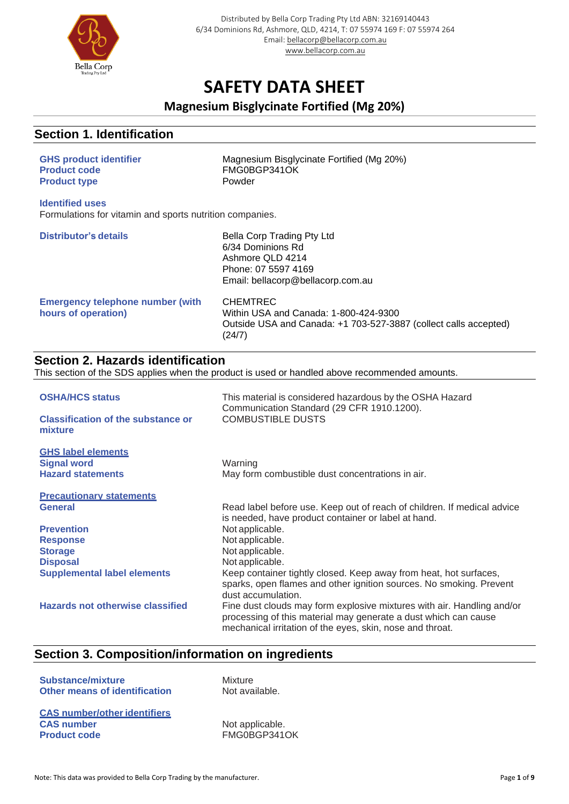

### **Magnesium Bisglycinate Fortified (Mg 20%)**

### **Section 1. Identification**

| <b>GHS product identifier</b><br><b>Product code</b><br><b>Product type</b>        | Magnesium Bisglycinate Fortified (Mg 20%)<br>FMG0BGP341OK<br>Powder                                                                                            |
|------------------------------------------------------------------------------------|----------------------------------------------------------------------------------------------------------------------------------------------------------------|
| <b>Identified uses</b><br>Formulations for vitamin and sports nutrition companies. |                                                                                                                                                                |
| <b>Distributor's details</b>                                                       | Bella Corp Trading Pty Ltd<br>6/34 Dominions Rd<br>Ashmore QLD 4214<br>Phone: 07 5597 4169<br>Email: bellacorp@bellacorp.com.au                                |
| <b>Emergency telephone number (with</b><br>hours of operation)                     | <b>CHEMTREC</b><br>Within USA and Canada: 1-800-424-9300<br>Outside USA and Canada: +1 703-527-3887 (collect calls accepted)<br>(24/7)                         |
| <b>Section 2. Hazards identification</b>                                           | This section of the SDS applies when the product is used or handled above recommended amounts.                                                                 |
|                                                                                    |                                                                                                                                                                |
| <b>OSHA/HCS status</b>                                                             | This material is considered hazardous by the OSHA Hazard<br>Communication Standard (29 CFR 1910.1200).                                                         |
| <b>Classification of the substance or</b><br>mixture                               | <b>COMBUSTIBLE DUSTS</b>                                                                                                                                       |
| <b>GHS label elements</b>                                                          |                                                                                                                                                                |
| <b>Signal word</b>                                                                 | Warning                                                                                                                                                        |
| <b>Hazard statements</b>                                                           | May form combustible dust concentrations in air.                                                                                                               |
| <b>Precautionary statements</b><br><b>General</b>                                  | Read label before use. Keep out of reach of children. If medical advice<br>is needed, have product container or label at hand.                                 |
| <b>Prevention</b>                                                                  | Not applicable.                                                                                                                                                |
| <b>Response</b>                                                                    | Not applicable.                                                                                                                                                |
| <b>Storage</b>                                                                     | Not applicable.                                                                                                                                                |
| <b>Disposal</b>                                                                    | Not applicable.                                                                                                                                                |
| <b>Supplemental label elements</b>                                                 | Keep container tightly closed. Keep away from heat, hot surfaces,<br>sparks, open flames and other ignition sources. No smoking. Prevent<br>dust accumulation. |
| <b>Hazards not otherwise classified</b>                                            | Fine dust clouds may form explosive mixtures with air. Handling and/or<br>processing of this material may generate a dust which can cause                      |

mechanical irritation of the eyes, skin, nose and throat.

## **Section 3. Composition/information on ingredients**

| <b>Substance/mixture</b><br><b>Other means of identification</b> | Mixture<br>Not available. |
|------------------------------------------------------------------|---------------------------|
| <b>CAS number/other identifiers</b>                              |                           |
| <b>CAS number</b>                                                | Not applicable.           |
| <b>Product code</b>                                              | FMG0BGP341OK              |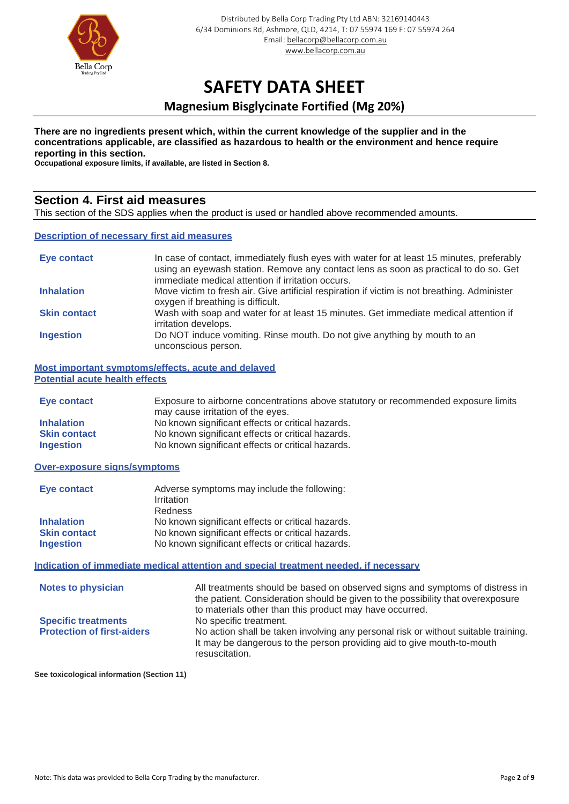

### **Magnesium Bisglycinate Fortified (Mg 20%)**

#### **There are no ingredients present which, within the current knowledge of the supplier and in the concentrations applicable, are classified as hazardous to health or the environment and hence require reporting in this section.**

**Occupational exposure limits, if available, are listed in Section 8.**

### **Section 4. First aid measures**

This section of the SDS applies when the product is used or handled above recommended amounts.

#### **Description of necessary first aid measures**

| Eye contact         | In case of contact, immediately flush eyes with water for at least 15 minutes, preferably<br>using an eyewash station. Remove any contact lens as soon as practical to do so. Get<br>immediate medical attention if irritation occurs. |
|---------------------|----------------------------------------------------------------------------------------------------------------------------------------------------------------------------------------------------------------------------------------|
| <b>Inhalation</b>   | Move victim to fresh air. Give artificial respiration if victim is not breathing. Administer<br>oxygen if breathing is difficult.                                                                                                      |
| <b>Skin contact</b> | Wash with soap and water for at least 15 minutes. Get immediate medical attention if<br>irritation develops.                                                                                                                           |
| <b>Ingestion</b>    | Do NOT induce vomiting. Rinse mouth. Do not give anything by mouth to an<br>unconscious person.                                                                                                                                        |

**Most important symptoms/effects, acute and delayed Potential acute health effects**

| Eye contact         | Exposure to airborne concentrations above statutory or recommended exposure limits |
|---------------------|------------------------------------------------------------------------------------|
|                     | may cause irritation of the eyes.                                                  |
| <b>Inhalation</b>   | No known significant effects or critical hazards.                                  |
| <b>Skin contact</b> | No known significant effects or critical hazards.                                  |
| <b>Ingestion</b>    | No known significant effects or critical hazards.                                  |

#### **Over-exposure signs/symptoms**

| Eye contact         | Adverse symptoms may include the following:<br>Irritation<br><b>Redness</b> |
|---------------------|-----------------------------------------------------------------------------|
| <b>Inhalation</b>   | No known significant effects or critical hazards.                           |
| <b>Skin contact</b> | No known significant effects or critical hazards.                           |
| <b>Ingestion</b>    | No known significant effects or critical hazards.                           |

#### **Indication of immediate medical attention and special treatment needed, if necessary**

| <b>Notes to physician</b>         | All treatments should be based on observed signs and symptoms of distress in<br>the patient. Consideration should be given to the possibility that overexposure<br>to materials other than this product may have occurred. |
|-----------------------------------|----------------------------------------------------------------------------------------------------------------------------------------------------------------------------------------------------------------------------|
| <b>Specific treatments</b>        | No specific treatment.                                                                                                                                                                                                     |
| <b>Protection of first-aiders</b> | No action shall be taken involving any personal risk or without suitable training.<br>It may be dangerous to the person providing aid to give mouth-to-mouth<br>resuscitation.                                             |

**See toxicological information (Section 11)**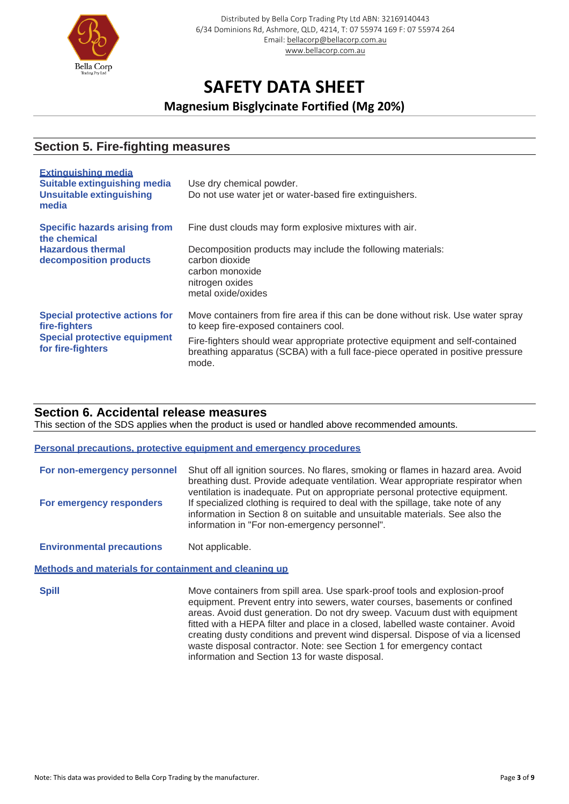

**Magnesium Bisglycinate Fortified (Mg 20%)**

### **Section 5. Fire-fighting measures**

| <b>Extinguishing media</b><br><b>Suitable extinguishing media</b><br><b>Unsuitable extinguishing</b><br>media      | Use dry chemical powder.<br>Do not use water jet or water-based fire extinguishers.                                                                                       |
|--------------------------------------------------------------------------------------------------------------------|---------------------------------------------------------------------------------------------------------------------------------------------------------------------------|
| <b>Specific hazards arising from</b><br>the chemical                                                               | Fine dust clouds may form explosive mixtures with air.                                                                                                                    |
| <b>Hazardous thermal</b><br>decomposition products                                                                 | Decomposition products may include the following materials:<br>carbon dioxide<br>carbon monoxide<br>nitrogen oxides<br>metal oxide/oxides                                 |
| <b>Special protective actions for</b><br>fire-fighters<br><b>Special protective equipment</b><br>for fire-fighters | Move containers from fire area if this can be done without risk. Use water spray<br>to keep fire-exposed containers cool.                                                 |
|                                                                                                                    | Fire-fighters should wear appropriate protective equipment and self-contained<br>breathing apparatus (SCBA) with a full face-piece operated in positive pressure<br>mode. |

#### **Section 6. Accidental release measures**

This section of the SDS applies when the product is used or handled above recommended amounts.

#### **Personal precautions, protective equipment and emergency procedures**

| For non-emergency personnel | Shut off all ignition sources. No flares, smoking or flames in hazard area. Avoid<br>breathing dust. Provide adequate ventilation. Wear appropriate respirator when<br>ventilation is inadequate. Put on appropriate personal protective equipment. |
|-----------------------------|-----------------------------------------------------------------------------------------------------------------------------------------------------------------------------------------------------------------------------------------------------|
| For emergency responders    | If specialized clothing is required to deal with the spillage, take note of any<br>information in Section 8 on suitable and unsuitable materials. See also the<br>information in "For non-emergency personnel".                                     |

**Environmental precautions** Not applicable.

#### **Methods and materials for containment and cleaning up**

**Spill** Move containers from spill area. Use spark-proof tools and explosion-proof equipment. Prevent entry into sewers, water courses, basements or confined areas. Avoid dust generation. Do not dry sweep. Vacuum dust with equipment fitted with a HEPA filter and place in a closed, labelled waste container. Avoid creating dusty conditions and prevent wind dispersal. Dispose of via a licensed waste disposal contractor. Note: see Section 1 for emergency contact information and Section 13 for waste disposal.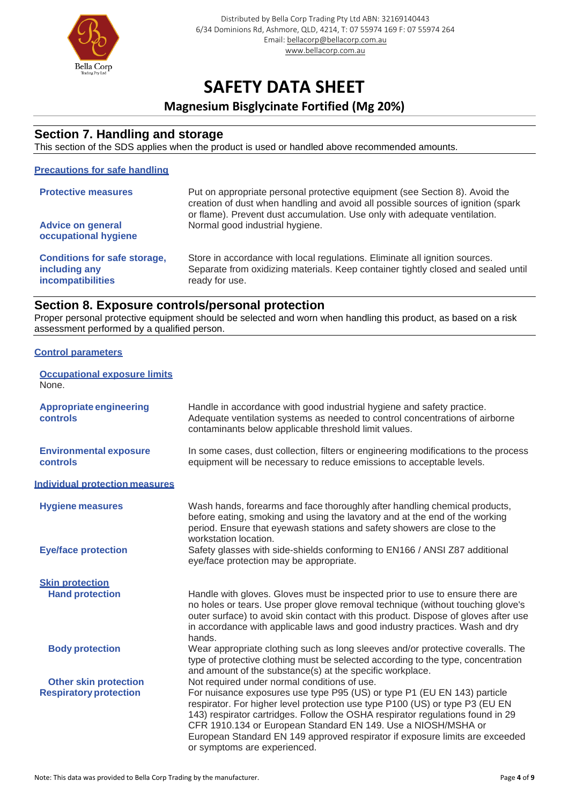

### **Magnesium Bisglycinate Fortified (Mg 20%)**

#### **Section 7. Handling and storage**

This section of the SDS applies when the product is used or handled above recommended amounts.

#### **Precautions for safe handling**

| <b>Protective measures</b><br><b>Advice on general</b>                                                   | Put on appropriate personal protective equipment (see Section 8). Avoid the<br>creation of dust when handling and avoid all possible sources of ignition (spark<br>or flame). Prevent dust accumulation. Use only with adequate ventilation.<br>Normal good industrial hygiene. |
|----------------------------------------------------------------------------------------------------------|---------------------------------------------------------------------------------------------------------------------------------------------------------------------------------------------------------------------------------------------------------------------------------|
| occupational hygiene<br><b>Conditions for safe storage,</b><br>including any<br><b>incompatibilities</b> | Store in accordance with local regulations. Eliminate all ignition sources.<br>Separate from oxidizing materials. Keep container tightly closed and sealed until<br>ready for use.                                                                                              |

#### **Section 8. Exposure controls/personal protection**

Proper personal protective equipment should be selected and worn when handling this product, as based on a risk assessment performed by a qualified person.

#### **Control parameters**

| <b>Occupational exposure limits</b><br>None. |                                                                                                                                                                                                                                                                                                                                                                                                                             |
|----------------------------------------------|-----------------------------------------------------------------------------------------------------------------------------------------------------------------------------------------------------------------------------------------------------------------------------------------------------------------------------------------------------------------------------------------------------------------------------|
| <b>Appropriate engineering</b><br>controls   | Handle in accordance with good industrial hygiene and safety practice.<br>Adequate ventilation systems as needed to control concentrations of airborne<br>contaminants below applicable threshold limit values.                                                                                                                                                                                                             |
| <b>Environmental exposure</b><br>controls    | In some cases, dust collection, filters or engineering modifications to the process<br>equipment will be necessary to reduce emissions to acceptable levels.                                                                                                                                                                                                                                                                |
| <b>Individual protection measures</b>        |                                                                                                                                                                                                                                                                                                                                                                                                                             |
| <b>Hygiene measures</b>                      | Wash hands, forearms and face thoroughly after handling chemical products,<br>before eating, smoking and using the lavatory and at the end of the working<br>period. Ensure that eyewash stations and safety showers are close to the<br>workstation location.                                                                                                                                                              |
| <b>Eye/face protection</b>                   | Safety glasses with side-shields conforming to EN166 / ANSI Z87 additional<br>eye/face protection may be appropriate.                                                                                                                                                                                                                                                                                                       |
| <b>Skin protection</b>                       |                                                                                                                                                                                                                                                                                                                                                                                                                             |
| <b>Hand protection</b>                       | Handle with gloves. Gloves must be inspected prior to use to ensure there are<br>no holes or tears. Use proper glove removal technique (without touching glove's<br>outer surface) to avoid skin contact with this product. Dispose of gloves after use<br>in accordance with applicable laws and good industry practices. Wash and dry<br>hands.                                                                           |
| <b>Body protection</b>                       | Wear appropriate clothing such as long sleeves and/or protective coveralls. The<br>type of protective clothing must be selected according to the type, concentration<br>and amount of the substance(s) at the specific workplace.                                                                                                                                                                                           |
| <b>Other skin protection</b>                 | Not required under normal conditions of use.                                                                                                                                                                                                                                                                                                                                                                                |
| <b>Respiratory protection</b>                | For nuisance exposures use type P95 (US) or type P1 (EU EN 143) particle<br>respirator. For higher level protection use type P100 (US) or type P3 (EU EN<br>143) respirator cartridges. Follow the OSHA respirator regulations found in 29<br>CFR 1910.134 or European Standard EN 149. Use a NIOSH/MSHA or<br>European Standard EN 149 approved respirator if exposure limits are exceeded<br>or symptoms are experienced. |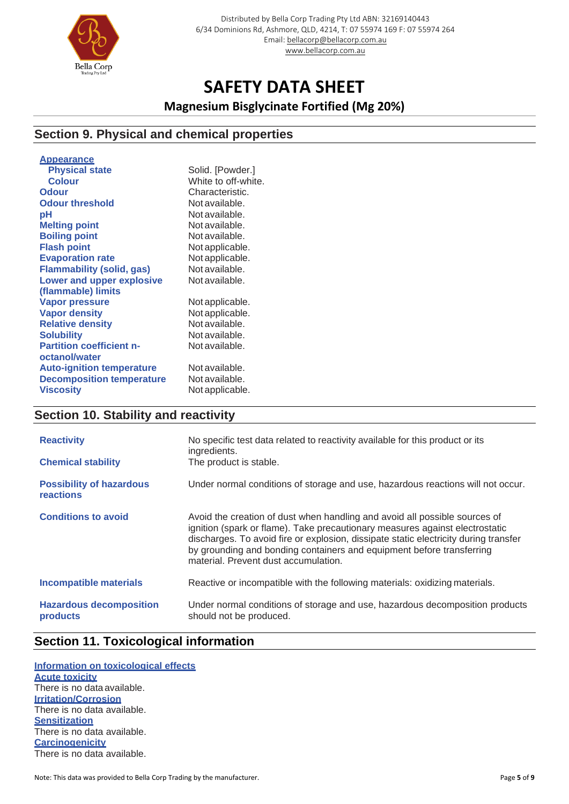

**Magnesium Bisglycinate Fortified (Mg 20%)**

### **Section 9. Physical and chemical properties**

| Solid. [Powder.]    |
|---------------------|
| White to off-white. |
| Characteristic.     |
| Not available.      |
| Not available.      |
| Not available.      |
| Not available.      |
| Not applicable.     |
| Not applicable.     |
| Not available.      |
| Not available.      |
|                     |
| Not applicable.     |
| Not applicable.     |
| Not available.      |
| Not available.      |
| Not available.      |
|                     |
| Not available.      |
| Not available.      |
| Not applicable.     |
|                     |
|                     |

## **Section 10. Stability and reactivity**

| <b>Reactivity</b><br><b>Chemical stability</b> | No specific test data related to reactivity available for this product or its<br>ingredients.<br>The product is stable.                                                                                                                                                                                                                                             |
|------------------------------------------------|---------------------------------------------------------------------------------------------------------------------------------------------------------------------------------------------------------------------------------------------------------------------------------------------------------------------------------------------------------------------|
| <b>Possibility of hazardous</b><br>reactions   | Under normal conditions of storage and use, hazardous reactions will not occur.                                                                                                                                                                                                                                                                                     |
| <b>Conditions to avoid</b>                     | Avoid the creation of dust when handling and avoid all possible sources of<br>ignition (spark or flame). Take precautionary measures against electrostatic<br>discharges. To avoid fire or explosion, dissipate static electricity during transfer<br>by grounding and bonding containers and equipment before transferring<br>material. Prevent dust accumulation. |
| <b>Incompatible materials</b>                  | Reactive or incompatible with the following materials: oxidizing materials.                                                                                                                                                                                                                                                                                         |
| <b>Hazardous decomposition</b><br>products     | Under normal conditions of storage and use, hazardous decomposition products<br>should not be produced.                                                                                                                                                                                                                                                             |

### **Section 11. Toxicological information**

**Information on toxicological effects Acute toxicity** There is no dataavailable. **Irritation/Corrosion** There is no data available. **Sensitization** There is no data available. **Carcinogenicity** There is no data available.

Note: This data was provided to Bella Corp Trading by the manufacturer. **Page 1** of 9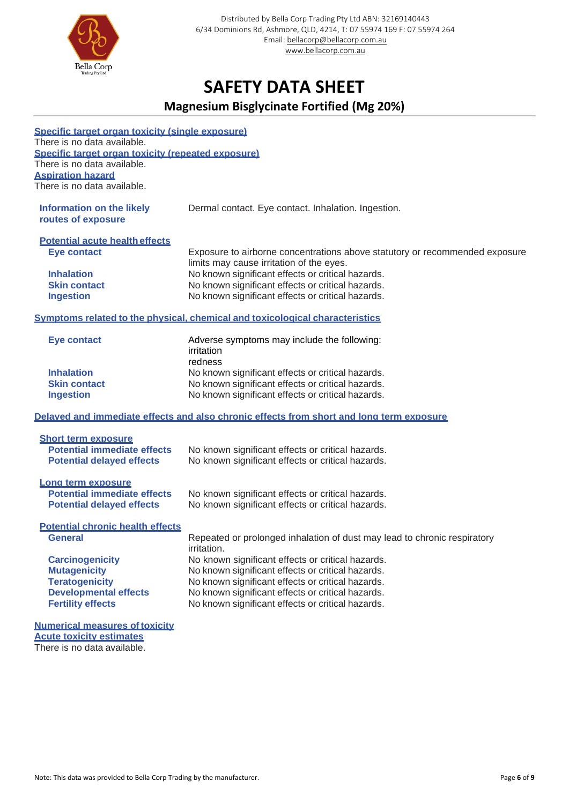

## **Magnesium Bisglycinate Fortified (Mg 20%)**

| Specific target organ toxicity (single exposure)<br>There is no data available.<br>Specific target organ toxicity (repeated exposure)<br>There is no data available.<br><b>Aspiration hazard</b><br>There is no data available. |                                                                                                                                                             |  |  |  |
|---------------------------------------------------------------------------------------------------------------------------------------------------------------------------------------------------------------------------------|-------------------------------------------------------------------------------------------------------------------------------------------------------------|--|--|--|
| <b>Information on the likely</b><br>routes of exposure                                                                                                                                                                          | Dermal contact. Eye contact. Inhalation. Ingestion.                                                                                                         |  |  |  |
| <b>Potential acute health effects</b><br><b>Eye contact</b>                                                                                                                                                                     | Exposure to airborne concentrations above statutory or recommended exposure<br>limits may cause irritation of the eyes.                                     |  |  |  |
| <b>Inhalation</b><br><b>Skin contact</b><br><b>Ingestion</b>                                                                                                                                                                    | No known significant effects or critical hazards.<br>No known significant effects or critical hazards.<br>No known significant effects or critical hazards. |  |  |  |
| Symptoms related to the physical, chemical and toxicological characteristics                                                                                                                                                    |                                                                                                                                                             |  |  |  |
| <b>Eye contact</b>                                                                                                                                                                                                              | Adverse symptoms may include the following:<br>irritation<br>redness                                                                                        |  |  |  |
| <b>Inhalation</b>                                                                                                                                                                                                               | No known significant effects or critical hazards.                                                                                                           |  |  |  |
| <b>Skin contact</b>                                                                                                                                                                                                             | No known significant effects or critical hazards.                                                                                                           |  |  |  |
| <b>Ingestion</b>                                                                                                                                                                                                                | No known significant effects or critical hazards.                                                                                                           |  |  |  |
|                                                                                                                                                                                                                                 | Delayed and immediate effects and also chronic effects from short and long term exposure                                                                    |  |  |  |
| <b>Short term exposure</b>                                                                                                                                                                                                      |                                                                                                                                                             |  |  |  |
| <b>Potential immediate effects</b>                                                                                                                                                                                              | No known significant effects or critical hazards.                                                                                                           |  |  |  |
| <b>Potential delayed effects</b>                                                                                                                                                                                                | No known significant effects or critical hazards.                                                                                                           |  |  |  |
| Long term exposure                                                                                                                                                                                                              |                                                                                                                                                             |  |  |  |
| <b>Potential immediate effects</b>                                                                                                                                                                                              | No known significant effects or critical hazards.                                                                                                           |  |  |  |
| <b>Potential delayed effects</b>                                                                                                                                                                                                | No known significant effects or critical hazards.                                                                                                           |  |  |  |
| <b>Potential chronic health effects</b>                                                                                                                                                                                         |                                                                                                                                                             |  |  |  |
| <b>General</b>                                                                                                                                                                                                                  | Repeated or prolonged inhalation of dust may lead to chronic respiratory<br>irritation.                                                                     |  |  |  |
| <b>Carcinogenicity</b>                                                                                                                                                                                                          | No known significant effects or critical hazards.                                                                                                           |  |  |  |
| <b>Mutagenicity</b>                                                                                                                                                                                                             | No known significant effects or critical hazards.                                                                                                           |  |  |  |
| <b>Teratogenicity</b>                                                                                                                                                                                                           | No known significant effects or critical hazards.                                                                                                           |  |  |  |
| <b>Developmental effects</b>                                                                                                                                                                                                    | No known significant effects or critical hazards.                                                                                                           |  |  |  |
| <b>Fertility effects</b>                                                                                                                                                                                                        | No known significant effects or critical hazards.                                                                                                           |  |  |  |
| <b>Numerical measures of toxicity</b><br><b>Acute toxicity estimates</b><br>There is no data available.                                                                                                                         |                                                                                                                                                             |  |  |  |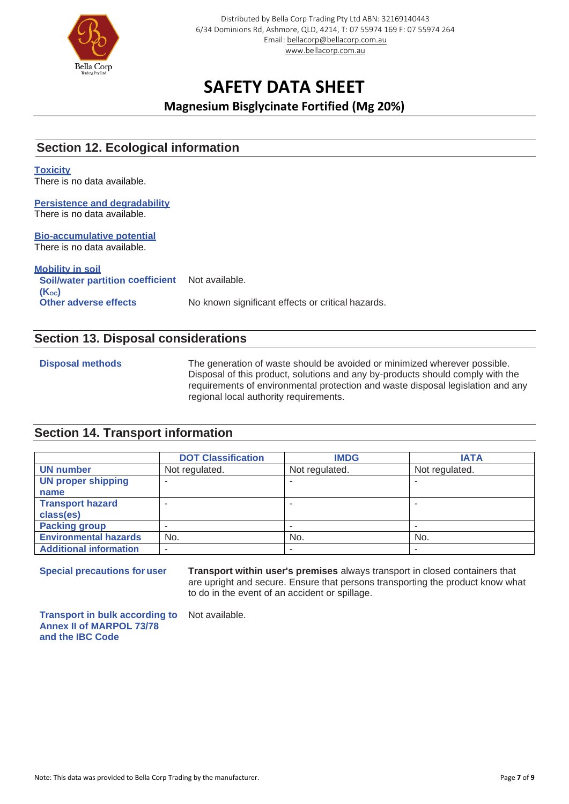

**Magnesium Bisglycinate Fortified (Mg 20%)**

### **Section 12. Ecological information**

#### **Toxicity**

There is no data available.

#### **Persistence and degradability** There is no data available.

#### **Bio-accumulative potential** There is no data available.

**Mobility in soil Soil/water partition coefficient (KOC)** Not available. **Other adverse effects** No known significant effects or critical hazards.

#### **Section 13. Disposal considerations**

**Disposal methods** The generation of waste should be avoided or minimized wherever possible. Disposal of this product, solutions and any by-products should comply with the requirements of environmental protection and waste disposal legislation and any regional local authority requirements.

### **Section 14. Transport information**

|                               | <b>DOT Classification</b> | <b>IMDG</b>    | <b>IATA</b>    |
|-------------------------------|---------------------------|----------------|----------------|
| <b>UN number</b>              | Not regulated.            | Not regulated. | Not regulated. |
| <b>UN proper shipping</b>     |                           |                |                |
| name                          |                           |                |                |
| <b>Transport hazard</b>       |                           |                |                |
| class(es)                     |                           |                |                |
| <b>Packing group</b>          |                           |                |                |
| <b>Environmental hazards</b>  | No.                       | No.            | No.            |
| <b>Additional information</b> |                           |                |                |

**Special precautions for user Transport within user's premises** always transport in closed containers that are upright and secure. Ensure that persons transporting the product know what to do in the event of an accident or spillage.

**Transport in bulk according to Annex II of MARPOL 73/78 and the IBC Code**

Not available.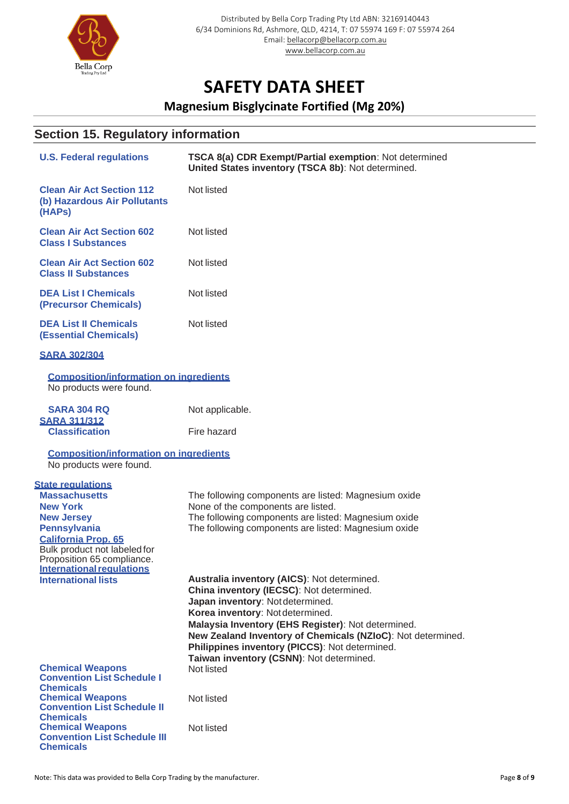

## **Magnesium Bisglycinate Fortified (Mg 20%)**

## **Section 15. Regulatory information**

| <b>U.S. Federal regulations</b>                                                                                              | TSCA 8(a) CDR Exempt/Partial exemption: Not determined<br>United States inventory (TSCA 8b): Not determined. |
|------------------------------------------------------------------------------------------------------------------------------|--------------------------------------------------------------------------------------------------------------|
| <b>Clean Air Act Section 112</b><br>(b) Hazardous Air Pollutants<br>(HAPs)                                                   | Not listed                                                                                                   |
| <b>Clean Air Act Section 602</b><br><b>Class I Substances</b>                                                                | Not listed                                                                                                   |
| <b>Clean Air Act Section 602</b><br><b>Class II Substances</b>                                                               | Not listed                                                                                                   |
| <b>DEA List I Chemicals</b><br>(Precursor Chemicals)                                                                         | Not listed                                                                                                   |
| <b>DEA List II Chemicals</b><br><b>(Essential Chemicals)</b>                                                                 | Not listed                                                                                                   |
| <b>SARA 302/304</b>                                                                                                          |                                                                                                              |
| <b>Composition/information on ingredients</b><br>No products were found.                                                     |                                                                                                              |
| <b>SARA 304 RQ</b>                                                                                                           | Not applicable.                                                                                              |
| <b>SARA 311/312</b><br><b>Classification</b>                                                                                 | Fire hazard                                                                                                  |
| <b>Composition/information on ingredients</b><br>No products were found.                                                     |                                                                                                              |
| <b>State regulations</b><br><b>Massachusetts</b>                                                                             | The following components are listed: Magnesium oxide                                                         |
| <b>New York</b>                                                                                                              | None of the components are listed.                                                                           |
| <b>New Jersey</b>                                                                                                            | The following components are listed: Magnesium oxide                                                         |
| <b>Pennsylvania</b>                                                                                                          | The following components are listed: Magnesium oxide                                                         |
| <b>California Prop. 65</b><br>Bulk product not labeled for<br>Proposition 65 compliance.<br><b>International requlations</b> |                                                                                                              |
| <b>International lists</b>                                                                                                   | Australia inventory (AICS): Not determined.                                                                  |
|                                                                                                                              | China inventory (IECSC): Not determined.                                                                     |
|                                                                                                                              | Japan inventory: Not determined.<br>Korea inventory: Not determined.                                         |
|                                                                                                                              | Malaysia Inventory (EHS Register): Not determined.                                                           |
|                                                                                                                              | New Zealand Inventory of Chemicals (NZIoC): Not determined.                                                  |
|                                                                                                                              | Philippines inventory (PICCS): Not determined.                                                               |
| <b>Chemical Weapons</b>                                                                                                      | Taiwan inventory (CSNN): Not determined.<br>Not listed                                                       |
| <b>Convention List Schedule I</b>                                                                                            |                                                                                                              |
| <b>Chemicals</b>                                                                                                             |                                                                                                              |
| <b>Chemical Weapons</b><br><b>Convention List Schedule II</b>                                                                | Not listed                                                                                                   |
| <b>Chemicals</b>                                                                                                             |                                                                                                              |
| <b>Chemical Weapons</b><br><b>Convention List Schedule III</b><br><b>Chemicals</b>                                           | Not listed                                                                                                   |